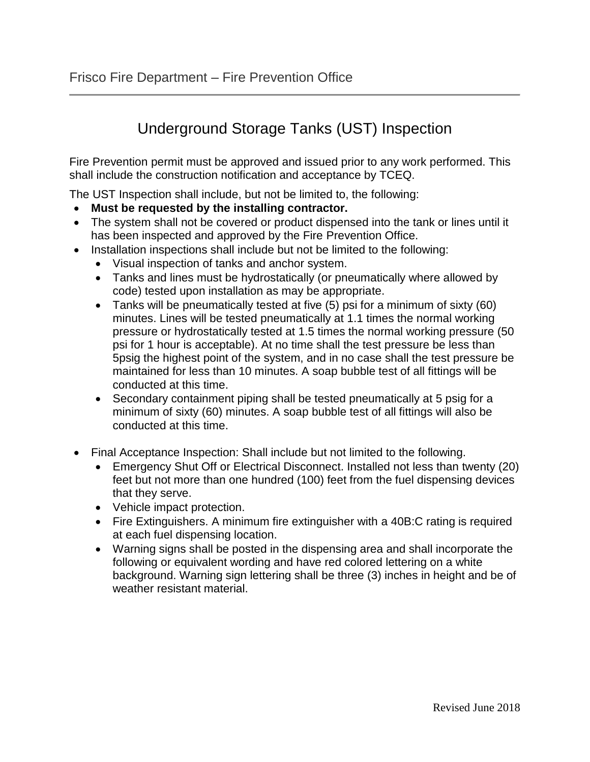## Underground Storage Tanks (UST) Inspection

Fire Prevention permit must be approved and issued prior to any work performed. This shall include the construction notification and acceptance by TCEQ.

The UST Inspection shall include, but not be limited to, the following:

- **Must be requested by the installing contractor.**
- The system shall not be covered or product dispensed into the tank or lines until it has been inspected and approved by the Fire Prevention Office.
- Installation inspections shall include but not be limited to the following:
	- Visual inspection of tanks and anchor system.
	- Tanks and lines must be hydrostatically (or pneumatically where allowed by code) tested upon installation as may be appropriate.
	- Tanks will be pneumatically tested at five (5) psi for a minimum of sixty (60) minutes. Lines will be tested pneumatically at 1.1 times the normal working pressure or hydrostatically tested at 1.5 times the normal working pressure (50 psi for 1 hour is acceptable). At no time shall the test pressure be less than 5psig the highest point of the system, and in no case shall the test pressure be maintained for less than 10 minutes. A soap bubble test of all fittings will be conducted at this time.
	- Secondary containment piping shall be tested pneumatically at 5 psig for a minimum of sixty (60) minutes. A soap bubble test of all fittings will also be conducted at this time.
- Final Acceptance Inspection: Shall include but not limited to the following.
	- Emergency Shut Off or Electrical Disconnect. Installed not less than twenty (20) feet but not more than one hundred (100) feet from the fuel dispensing devices that they serve.
	- Vehicle impact protection.
	- Fire Extinguishers. A minimum fire extinguisher with a 40B:C rating is required at each fuel dispensing location.
	- Warning signs shall be posted in the dispensing area and shall incorporate the following or equivalent wording and have red colored lettering on a white background. Warning sign lettering shall be three (3) inches in height and be of weather resistant material.